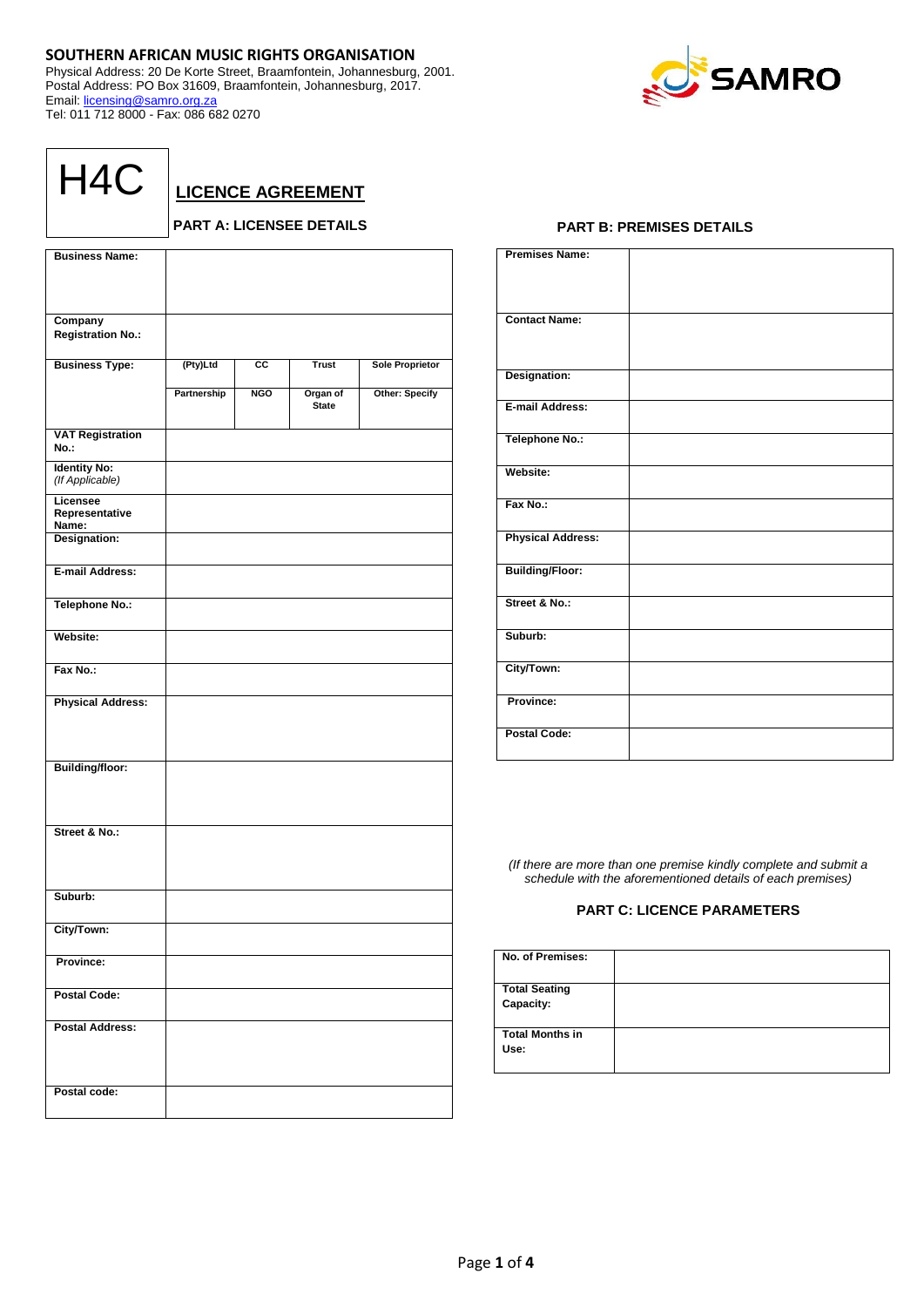## **SOUTHERN AFRICAN MUSIC RIGHTS ORGANISATION**

Physical Address: 20 De Korte Street, Braamfontein, Johannesburg, 2001. Postal Address: PO Box 31609, Braamfontein, Johannesburg, 2017. Email: [licensing@samro.org.za](mailto:licensing@samro.org.za) Tel: 011 712 8000 - Fax: 086 682 0270



| H4C |
|-----|
|-----|

**LICENCE AGREEMENT**

## **PART A: LICENSEE DETAILS**

| <b>Business Name:</b>                  |             |                 |                          |                        |
|----------------------------------------|-------------|-----------------|--------------------------|------------------------|
|                                        |             |                 |                          |                        |
|                                        |             |                 |                          |                        |
| Company<br><b>Registration No.:</b>    |             |                 |                          |                        |
| <b>Business Type:</b>                  | (Pty)Ltd    | $\overline{cc}$ | <b>Trust</b>             | <b>Sole Proprietor</b> |
|                                        | Partnership | <b>NGO</b>      | Organ of<br><b>State</b> | <b>Other: Specify</b>  |
| <b>VAT Registration</b><br>No.:        |             |                 |                          |                        |
| <b>Identity No:</b><br>(If Applicable) |             |                 |                          |                        |
| Licensee<br>Representative<br>Name:    |             |                 |                          |                        |
| Designation:                           |             |                 |                          |                        |
| E-mail Address:                        |             |                 |                          |                        |
| Telephone No.:                         |             |                 |                          |                        |
| Website:                               |             |                 |                          |                        |
| Fax No.:                               |             |                 |                          |                        |
| <b>Physical Address:</b>               |             |                 |                          |                        |
| <b>Building/floor:</b>                 |             |                 |                          |                        |
| Street & No.:                          |             |                 |                          |                        |
| Suburb:                                |             |                 |                          |                        |
| City/Town:                             |             |                 |                          |                        |
| Province:                              |             |                 |                          |                        |
| <b>Postal Code:</b>                    |             |                 |                          |                        |
| <b>Postal Address:</b>                 |             |                 |                          |                        |
| Postal code:                           |             |                 |                          |                        |

## **PART B: PREMISES DETAILS**

| <b>Premises Name:</b>    |  |
|--------------------------|--|
| <b>Contact Name:</b>     |  |
| Designation:             |  |
| E-mail Address:          |  |
| <b>Telephone No.:</b>    |  |
| Website:                 |  |
| Fax No.:                 |  |
| <b>Physical Address:</b> |  |
| <b>Building/Floor:</b>   |  |
| Street & No.:            |  |
| Suburb:                  |  |
| City/Town:               |  |
| Province:                |  |
| <b>Postal Code:</b>      |  |

*(If there are more than one premise kindly complete and submit a schedule with the aforementioned details of each premises)*

## **PART C: LICENCE PARAMETERS**

| No. of Premises:                  |  |
|-----------------------------------|--|
| <b>Total Seating</b><br>Capacity: |  |
| <b>Total Months in</b><br>Use:    |  |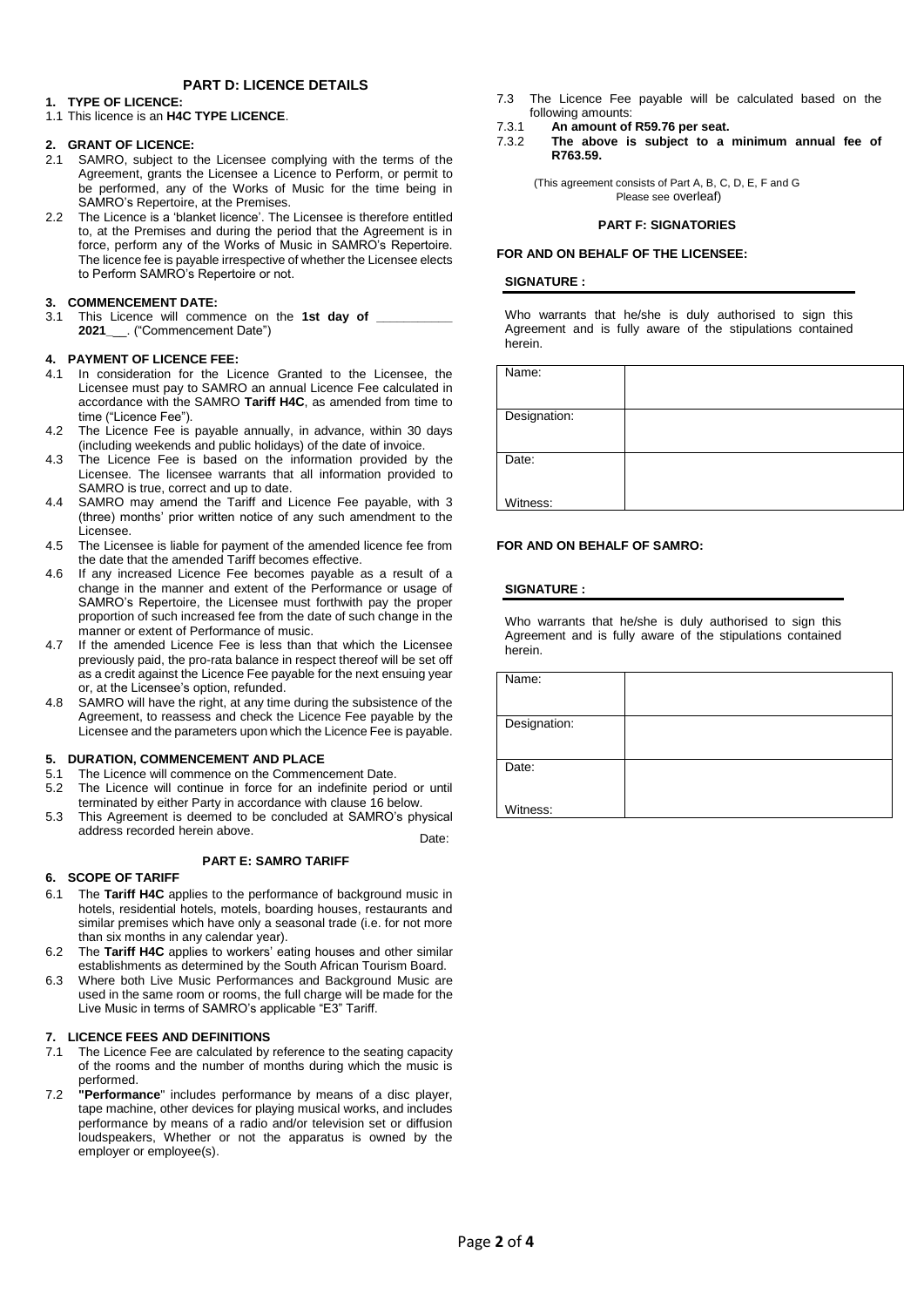## **PART D: LICENCE DETAILS**

## **1. TYPE OF LICENCE:**

1.1 This licence is an **H4C TYPE LICENCE**.

### **2. GRANT OF LICENCE:**

- 2.1 SAMRO, subject to the Licensee complying with the terms of the Agreement, grants the Licensee a Licence to Perform, or permit to be performed, any of the Works of Music for the time being in SAMRO's Repertoire, at the Premises.
- 2.2 The Licence is a 'blanket licence'. The Licensee is therefore entitled to, at the Premises and during the period that the Agreement is in force, perform any of the Works of Music in SAMRO's Repertoire. The licence fee is payable irrespective of whether the Licensee elects to Perform SAMRO's Repertoire or not.

### **3. COMMENCEMENT DATE:**

3.1 This Licence will commence on the 1st day of **2021\_**\_\_. ("Commencement Date")

### **4. PAYMENT OF LICENCE FEE:**

- 4.1 In consideration for the Licence Granted to the Licensee, the Licensee must pay to SAMRO an annual Licence Fee calculated in accordance with the SAMRO **Tariff H4C**, as amended from time to time ("Licence Fee").
- 4.2 The Licence Fee is payable annually, in advance, within 30 days (including weekends and public holidays) of the date of invoice.
- 4.3 The Licence Fee is based on the information provided by the Licensee. The licensee warrants that all information provided to SAMRO is true, correct and up to date.
- 4.4 SAMRO may amend the Tariff and Licence Fee payable, with 3 (three) months' prior written notice of any such amendment to the Licensee.
- 4.5 The Licensee is liable for payment of the amended licence fee from the date that the amended Tariff becomes effective.
- 4.6 If any increased Licence Fee becomes payable as a result of a change in the manner and extent of the Performance or usage of SAMRO's Repertoire, the Licensee must forthwith pay the proper proportion of such increased fee from the date of such change in the manner or extent of Performance of music.
- 4.7 If the amended Licence Fee is less than that which the Licensee previously paid, the pro-rata balance in respect thereof will be set off as a credit against the Licence Fee payable for the next ensuing year or, at the Licensee's option, refunded.
- 4.8 SAMRO will have the right, at any time during the subsistence of the Agreement, to reassess and check the Licence Fee payable by the Licensee and the parameters upon which the Licence Fee is payable.

## **5. DURATION, COMMENCEMENT AND PLACE**

- 5.1 The Licence will commence on the Commencement Date.
- 5.2 The Licence will continue in force for an indefinite period or until terminated by either Party in accordance with clause 16 below.
- 5.3 This Agreement is deemed to be concluded at SAMRO's physical address recorded herein above. Date:

### **PART E: SAMRO TARIFF**

## **6. SCOPE OF TARIFF**

- 6.1 The **Tariff H4C** applies to the performance of background music in hotels, residential hotels, motels, boarding houses, restaurants and similar premises which have only a seasonal trade (i.e. for not more than six months in any calendar year).
- 6.2 The **Tariff H4C** applies to workers' eating houses and other similar establishments as determined by the South African Tourism Board.
- 6.3 Where both Live Music Performances and Background Music are used in the same room or rooms, the full charge will be made for the Live Music in terms of SAMRO's applicable "E3" Tariff.

### **7. LICENCE FEES AND DEFINITIONS**

- 7.1 The Licence Fee are calculated by reference to the seating capacity of the rooms and the number of months during which the music is performed.
- 7.2 **"Performance**" includes performance by means of a disc player, tape machine, other devices for playing musical works, and includes performance by means of a radio and/or television set or diffusion loudspeakers, Whether or not the apparatus is owned by the employer or employee(s).
- 7.3 The Licence Fee payable will be calculated based on the following amounts:
- 7.3.1 **An amount of R59.76 per seat.**
- The above is subject to a minimum annual fee of **R763.59.**

(This agreement consists of Part A, B, C, D, E, F and G Please see overleaf)

### **PART F: SIGNATORIES**

### **FOR AND ON BEHALF OF THE LICENSEE:**

### **SIGNATURE :**

Who warrants that he/she is duly authorised to sign this Agreement and is fully aware of the stipulations contained herein.

| Name:        |  |
|--------------|--|
|              |  |
| Designation: |  |
|              |  |
| Date:        |  |
|              |  |
|              |  |
| Witness:     |  |

### **FOR AND ON BEHALF OF SAMRO:**

## **SIGNATURE :**

Who warrants that he/she is duly authorised to sign this Agreement and is fully aware of the stipulations contained herein.

| Name:        |  |
|--------------|--|
| Designation: |  |
| Date:        |  |
| Witness:     |  |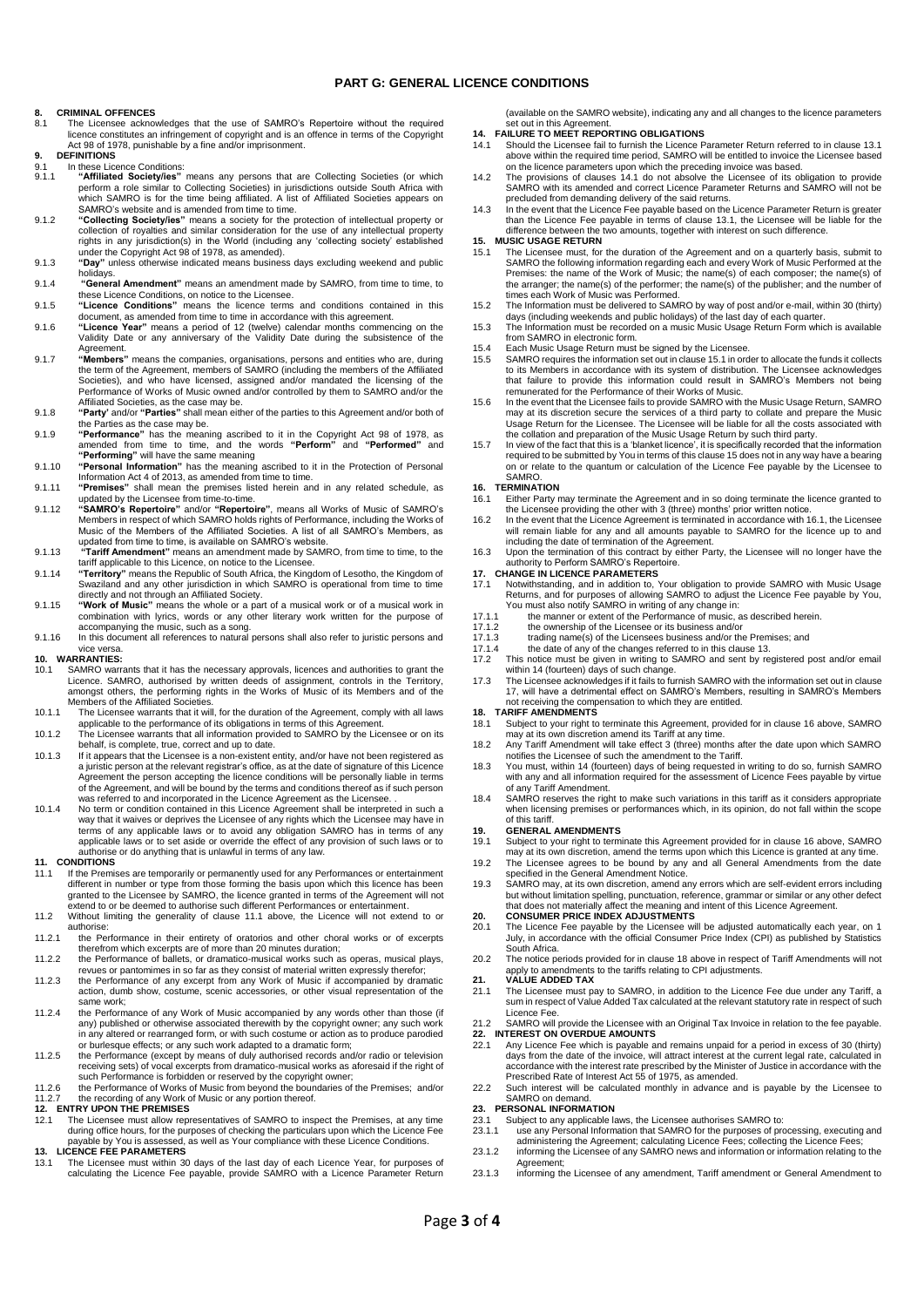### **PART G: GENERAL LICENCE CONDITIONS**

# **8. CRIMINAL OFFENCES**<br>8.1 The Licensee ackno

- The Licensee acknowledges that the use of SAMRO's Repertoire without the required licence constitutes an infringement of copyright and is an offence in terms of the Copyright Act 98 of 1978, punishable by a fine and/or imprisonment.
- **9. DEFINITIONS**
- 9.1 In these Licence Conditions:<br>9.1. **"Affiliated Society/ies"** 9.1.1 **"Affiliated Society/ies"** means any persons that are Collecting Societies (or which perform a role similar to Collecting Societies) in jurisdictions outside South Africa with which SAMRO is for the time being affiliated. A list of Affiliated Societies appears on SAMRO's website and is amended from time to time.
- 9.1.2 "Collecting Society/les" means a society for the protection of intellectual property or<br>collection of royalties and similar consideration for the use of any intellectual property<br>rights in any jurisdiction(s) in the under the Copyright Act 98 of 1978, as amended).
- 9.1.3 **"Day"** unless otherwise indicated means business days excluding weekend and public
- holidays. 9.1.4 **"General Amendment"** means an amendment made by SAMRO, from time to time, to these Licence Conditions, on notice to the Licensee. 9.1.5 **"Licence Conditions"** means the licence terms and conditions contained in this
- 
- document, as amended from time to time in accordance with this agreement. 9.1.6 **"Licence Year"** means a period of 12 (twelve) calendar months commencing on the Validity Date or any anniversary of the Validity Date during the subsistence of the Agreement.
- 9.1.7 **"Members"** means the companies, organisations, persons and entities who are, during the term of the Agreement, members of SAMRO (including the members of the Affiliated Societies), and who have licensed, assigned and/or mandated the licensing of the<br>Performance of Works of Music owned and/or controlled by them to SAMRO and/or the<br>Affiliated Societies, as the case may be.
- 9.1.8 **"Party'** and/or **"Parties"** shall mean either of the parties to this Agreement and/or both of the Parties as the case may be.
- 9.1.9 **"Performance"** has the meaning ascribed to it in the Copyright Act 98 of 1978, as amended from time to time, and the words **"Perform"** and **"Performed"** and **"Performing"** will have the same meaning
- 9.1.10 **"Personal Information"** has the meaning ascribed to it in the Protection of Personal Information Act 4 of 2013, as amended from time to time. 9.1.11 **"Premises"** shall mean the premises listed herein and in any related schedule, as
- 
- updated by the Licensee from time-to-time.<br>9.1.12 "SAMRO's Repertoire" and/or "Repertoire", means all Works of Music of SAMRO's<br>Members in respect of which SAMRO holds rights of Performance, including the Works of<br>Music of
- 9.1.13 **"Tariff Amendment"** means an amendment made by SAMRO, from time to time, to the tariff applicable to this Licence, on notice to the Licensee.
- 9.1.14 **"Territory"** means the Republic of South Africa, the Kingdom of Lesotho, the Kingdom of Swaziland and any other jurisdiction in which SAMRO is operational from time to time directly and not through an Affiliated Society. 9.1.15 **"Work of Music"** means the whole or a part of a musical work or of a musical work in
- combination with lyrics, words or any other literary work written for the purpose of accompanying the music, such as a song.
- 9.1.16 In this document all references to natural persons shall also refer to juristic persons and vice versa. **10. WARRANTIES:**

- 10.1 SAMRO warrants that it has the necessary approvals, licences and authorities to grant the Licence. SAMRO, authorised by written deeds of assignment, controls in the Territory, amongst others, the performing rights in
- 10.1.1 The Licensee warrants that it will, for the duration of the Agreement, comply with all laws applicable to the performance of its obligations in terms of this Agreement.
- 10.1.2 The Licensee warrants that all information provided to SAMRO by the Licensee or on its behalf, is complete, true, correct and up to date. 10.1.3 If it appears that the Licensee is a non-existent entity, and/or have not been registered as
- a juristic person at the relevant registrar's office, as at the date of signature of this Licence Agreement the person accepting the licence conditions will be personally liable in terms<br>of the Agreement, and will be bound by the terms and conditions thereof as if such person<br>was referred to and incorporated in the Lic
- 10.1.4 No term or condition contained in this Licence Agreement shall be interpreted in such a way that it waives or deprives the Licensee of any rights which the Licensee may have in terms of any applicable laws or to avoid any obligation SAMRO has in terms of any applicable laws or to set aside or override the effect of any provision of such laws or to authorise or do anything that is unlawful in terms of any law.

### **11. CONDITIONS**

- 11.1 If the Premises are temporarily or permanently used for any Performances or entertainment different in number or type from those forming the basis upon which this licence has been granted to the Licensee by SAMRO, the licence granted in terms of the Agreement will not extend to or be deemed to authorise such different Performances or entertainment.
- 11.2 Without limiting the generality of clause 11.1 above, the Licence will not extend to or authorise:
- 11.2.1 the Performance in their entirety of oratorios and other choral works or of excerpts
- therefrom which excerpts are of more than 20 minutes duration; 11.2.2 the Performance of ballets, or dramatico-musical works such as operas, musical plays,
- revues or pantomimes in so far as they consist of material written expressly therefor; 11.2.3 the Performance of any excerpt from any Work of Music if accompanied by dramatic action, dumb show, costume, scenic accessories, or other visual representation of the same work;
- 11.2.4 the Performance of any Work of Music accompanied by any words other than those (if any) published or otherwise associated therewith by the copyright owner; any such work in any altered or rearranged form, or with such costume or action as to produce parodied or burlesque effects; or any such work adapted to a dramatic form;
- 11.2.5 the Performance (except by means of duly authorised records and/or radio or television<br>receiving sets) of vocal excerpts from dramatico-musical works as aforesaid if the right of<br>such Performance is forbidden or res
- 11.2.6 the Performance of Works of Music from beyond the boundaries of the Premises; and/or 11.2.7 the recording of any Work of Music or any portion thereof.

# **12. ENTRY UPON THE PREMISES**<br>12.1 The Licensee must allow repr

11.1 The Licensee must allow representatives of SAMRO to inspect the Premises, at any time during office hours, for the purposes of checking the particulars upon which the Licence Fee payable by You is assessed, as well as Your compliance with these Licence Conditions. **13. LICENCE FEE PARAMETERS**

13.1 The Licensee must within 30 days of the last day of each Licence Year, for purposes of calculating the Licence Fee payable, provide SAMRO with a Licence Parameter Return

(available on the SAMRO website), indicating any and all changes to the licence parameters set out in this Agreement.

- **14. FAILURE TO MEET REPORTING OBLIGATIONS**
- 14.1 Should the Licensee fail to furnish the Licence Parameter Return referred to in clause 13.1 above within the required time period, SAMRO will be entitled to invoice the Licensee based on the licence parameters upon which the preceding invoice was based.
- 14.2 The provisions of clauses 14.1 do not absolve the Licensee of its obligation to provide SAMRO with its amended and correct Licence Parameter Returns and SAMRO will not be precluded from demanding delivery of the said returns.
- 14.3 In the event that the Licence Fee payable based on the Licence Parameter Return is greater than the Licence Fee payable in terms of clause 13.1, the Licensee will be liable for the difference between the two amounts, together with interest on such difference. **15. MUSIC USAGE RETURN**

- 15.1 The Licensee must, for the duration of the Agreement and on a quarterly basis, submit to SAMRO the following information regarding each and every Work of Music Performed at the<br>Premises: the name of the Work of Music; the name(s) of each composer; the name(s) of<br>the arranger; the name(s) of the performer; the times each Work of Music was Performed.
- 15.2 The Information must be delivered to SAMRO by way of post and/or e-mail, within 30 (thirty) days (including weekends and public holidays) of the last day of each quarter. 15.3 The Information must be recorded on a music Music Usage Return Form which is available
- from SAMRO in electronic form.
- 15.4 Each Music Usage Return must be signed by the Licensee.
- 15.5 SAMRO requires the information set out in clause 15.1 in order to allocate the funds it collects to its Members in accordance with its system of distribution. The Licensee acknowledges that failure to provide this information could result in SAMRO's Members not being
- remunerated for the Performance of their Works of Music. 15.6 In the event that the Licensee fails to provide SAMRO with the Music Usage Return, SAMRO may at its discretion secure the services of a third party to collate and prepare the Music Usage Return for the Licensee. The Licensee will be liable for all the costs associated with
- the collation and preparation of the Music Usage Return by such third party. 15.7 In view of the fact that this is a 'blanket licence', it is specifically recorded that the information required to be submitted by You in terms of this clause 15 does not in any way have a bearing on or relate to the quantum or calculation of the Licence Fee payable by the Licensee to SAMRO.

# **16. TERMINATION**

- 16.1 Either Party may terminate the Agreement and in so doing terminate the licence granted to the Licensee providing the other with 3 (three) months' prior written notice.
- 16.2 In the event that the Licence Agreement is terminated in accordance with 16.1, the Licensee will remain liable for any and all amounts payable to SAMRO for the licence up to and including the date of termination of the Agreement.
- 16.3 Upon the termination of this contract by either Party, the Licensee will no longer have the authority to Perform SAMRO's Repertoire.

- 17. CHANGE IN LICENCE PARAMETERS<br>17.1 Notwithstanding, and in addition to, Your obligation to provide SAMRO with Music Usage<br>Returns, and for purposes of allowing SAMRO to adjust the Licence Fee payable by You,<br>You must al
- 
- 17.1.1 the manner or extent of the Performance of music, as described herein.<br>17.1.2 the ownership of the Licensee or its business and/or 17.1.2 the ownership of the Licensee or its business and/or<br>17.1.3 trading name(s) of the Licensees business and/or the
- 17.1.3 trading name(s) of the Licensees business and/or the Premises; and<br>17.1.4 the date of any of the changes referred to in this clause 13.
- 17.1.4 the date of any of the changes referred to in this clause 13. 17.2 This notice must be given in writing to SAMRO and sent by registered post and/or email
- within 14 (fourteen) days of such change. 17.3 The Licensee acknowledges if it fails to furnish SAMRO with the information set out in clause
- 17, will have a detrimental effect on SAMRO's Members, resulting in SAMRO's Members not receiving the compensation to which they are entitled.

### **18. TARIFF AMENDMENTS**

- 18.1 Subject to your right to terminate this Agreement, provided for in clause 16 above, SAMRO may at its own discretion amend its Tariff at any time. 18.2 Any Tariff Amendment will take effect 3 (three) months after the date upon which SAMRO
- notifies the Licensee of such the amendment to the Tariff.
- 18.3 You must, within 14 (fourteen) days of being requested in writing to do so, furnish SAMRO with any and all information required for the assessment of Licence Fees payable by virtue
- of any Tariff Amendment. 18.4 SAMRO reserves the right to make such variations in this tariff as it considers appropriate when licensing premises or performances which, in its opinion, do not fall within the scope of this tariff.

# **19. GENERAL AMENDMENTS**

19.1 Subject to your right to terminate this Agreement provided for in clause 16 above, SAMRO may at its own discretion, amend the terms upon which this Licence is granted at any time. 19.2 The Licensee agrees to be bound by any and all General Amendments from the date

- specified in the General Amendment Notice.
- 19.3 SAMRO may, at its own discretion, amend any errors which are self-evident errors including but without limitation spelling, punctuation, reference, grammar or similar or any other defect<br>that does not materially affect the meaning and intent of this Licence Agreement.<br>20. CONSUMER PRICE INDEX ADJUSTMENTS

- 20.1 The Licence Fee payable by the Licensee will be adjusted automatically each year, on 1 July, in accordance with the official Consumer Price Index (CPI) as published by Statistics South Africa.
- 20.2 The notice periods provided for in clause 18 above in respect of Tariff Amendments will not apply to amendments to the tariffs relating to CPI adjustments. **21. VALUE ADDED TAX**
- 21.1 The Licensee must pay to SAMRO, in addition to the Licence Fee due under any Tariff, a sum in respect of Value Added Tax calculated at the relevant statutory rate in respect of such Licence Fee.
- 21.2 SAMRO will provide the Licensee with an Original Tax Invoice in relation to the fee payable. **22. INTEREST ON OVERDUE AMOUNTS**
- 22.1 Any Licence Fee which is payable and remains unpaid for a period in excess of 30 (thirty) days from the date of the invoice, will attract interest at the current legal rate, calculated in accordance with the interest rate prescribed by the Minister of Justice in accordance with the Prescribed Rate of Interest Act 55 of 1975, as amended.
- 22.2 Such interest will be calculated monthly in advance and is payable by the Licensee to SAMRO on demand.

### **23. PERSONAL INFORMATION**

- 
- 23.1 Subject to any applicable laws, the Licensee authorises SAMRO to:<br>23.1.1 use any Personal Information that SAMRO for the purposes of processing, executing and<br>administering the Agreement; calculating Licence Fees; col 23.1.2 informing the Licensee of any SAMRO news and information or information relating to the
- **Agreement** 23.1.3 informing the Licensee of any amendment, Tariff amendment or General Amendment to
-